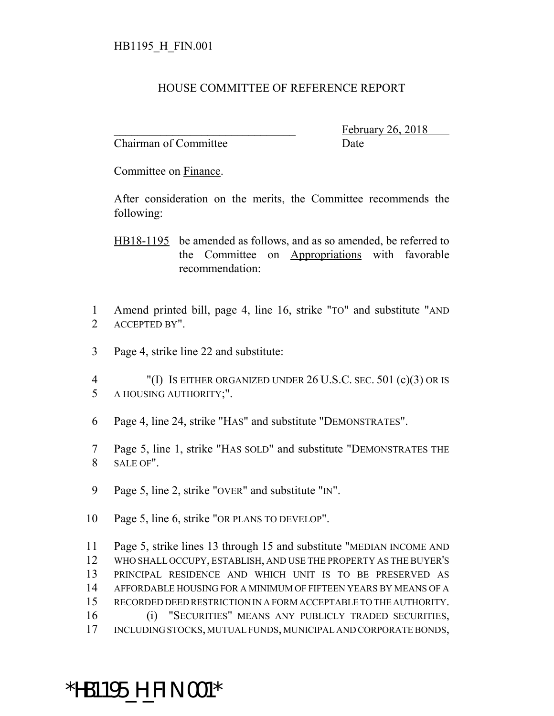## HOUSE COMMITTEE OF REFERENCE REPORT

Chairman of Committee Date

February 26, 2018

Committee on Finance.

After consideration on the merits, the Committee recommends the following:

HB18-1195 be amended as follows, and as so amended, be referred to the Committee on Appropriations with favorable recommendation:

 Amend printed bill, page 4, line 16, strike "TO" and substitute "AND ACCEPTED BY".

Page 4, strike line 22 and substitute:

 "(I) IS EITHER ORGANIZED UNDER 26 U.S.C. SEC. 501 (c)(3) OR IS A HOUSING AUTHORITY;".

- Page 4, line 24, strike "HAS" and substitute "DEMONSTRATES".
- Page 5, line 1, strike "HAS SOLD" and substitute "DEMONSTRATES THE SALE OF".
- Page 5, line 2, strike "OVER" and substitute "IN".
- Page 5, line 6, strike "OR PLANS TO DEVELOP".

 Page 5, strike lines 13 through 15 and substitute "MEDIAN INCOME AND WHO SHALL OCCUPY, ESTABLISH, AND USE THE PROPERTY AS THE BUYER'S PRINCIPAL RESIDENCE AND WHICH UNIT IS TO BE PRESERVED AS AFFORDABLE HOUSING FOR A MINIMUM OF FIFTEEN YEARS BY MEANS OF A RECORDED DEED RESTRICTION IN A FORM ACCEPTABLE TO THE AUTHORITY. (i) "SECURITIES" MEANS ANY PUBLICLY TRADED SECURITIES, INCLUDING STOCKS, MUTUAL FUNDS, MUNICIPAL AND CORPORATE BONDS,

## \*HB1195\_H\_FIN.001\*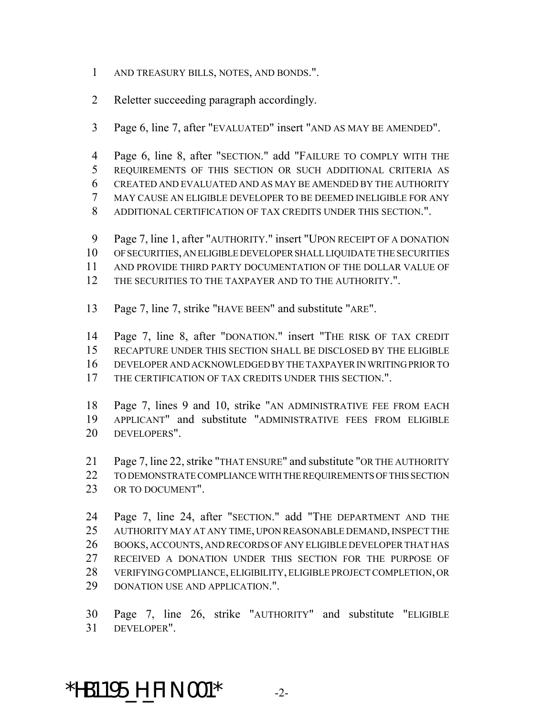- AND TREASURY BILLS, NOTES, AND BONDS.".
- Reletter succeeding paragraph accordingly.
- Page 6, line 7, after "EVALUATED" insert "AND AS MAY BE AMENDED".
- Page 6, line 8, after "SECTION." add "FAILURE TO COMPLY WITH THE
- REQUIREMENTS OF THIS SECTION OR SUCH ADDITIONAL CRITERIA AS CREATED AND EVALUATED AND AS MAY BE AMENDED BY THE AUTHORITY
- MAY CAUSE AN ELIGIBLE DEVELOPER TO BE DEEMED INELIGIBLE FOR ANY
- ADDITIONAL CERTIFICATION OF TAX CREDITS UNDER THIS SECTION.".
- Page 7, line 1, after "AUTHORITY." insert "UPON RECEIPT OF A DONATION
- OF SECURITIES, AN ELIGIBLE DEVELOPER SHALL LIQUIDATE THE SECURITIES
- AND PROVIDE THIRD PARTY DOCUMENTATION OF THE DOLLAR VALUE OF
- 12 THE SECURITIES TO THE TAXPAYER AND TO THE AUTHORITY.".
- Page 7, line 7, strike "HAVE BEEN" and substitute "ARE".

 Page 7, line 8, after "DONATION." insert "THE RISK OF TAX CREDIT RECAPTURE UNDER THIS SECTION SHALL BE DISCLOSED BY THE ELIGIBLE DEVELOPER AND ACKNOWLEDGED BY THE TAXPAYER IN WRITING PRIOR TO 17 THE CERTIFICATION OF TAX CREDITS UNDER THIS SECTION.".

- Page 7, lines 9 and 10, strike "AN ADMINISTRATIVE FEE FROM EACH APPLICANT" and substitute "ADMINISTRATIVE FEES FROM ELIGIBLE DEVELOPERS".
- Page 7, line 22, strike "THAT ENSURE" and substitute "OR THE AUTHORITY
- TO DEMONSTRATE COMPLIANCE WITH THE REQUIREMENTS OF THIS SECTION 23 OR TO DOCUMENT".
- Page 7, line 24, after "SECTION." add "THE DEPARTMENT AND THE AUTHORITY MAY AT ANY TIME, UPON REASONABLE DEMAND, INSPECT THE BOOKS, ACCOUNTS, AND RECORDS OF ANY ELIGIBLE DEVELOPER THAT HAS 27 RECEIVED A DONATION UNDER THIS SECTION FOR THE PURPOSE OF VERIFYING COMPLIANCE, ELIGIBILITY, ELIGIBLE PROJECT COMPLETION, OR DONATION USE AND APPLICATION.".

 Page 7, line 26, strike "AUTHORITY" and substitute "ELIGIBLE DEVELOPER".

## \*HB1195\_H\_FIN.001\* -2-